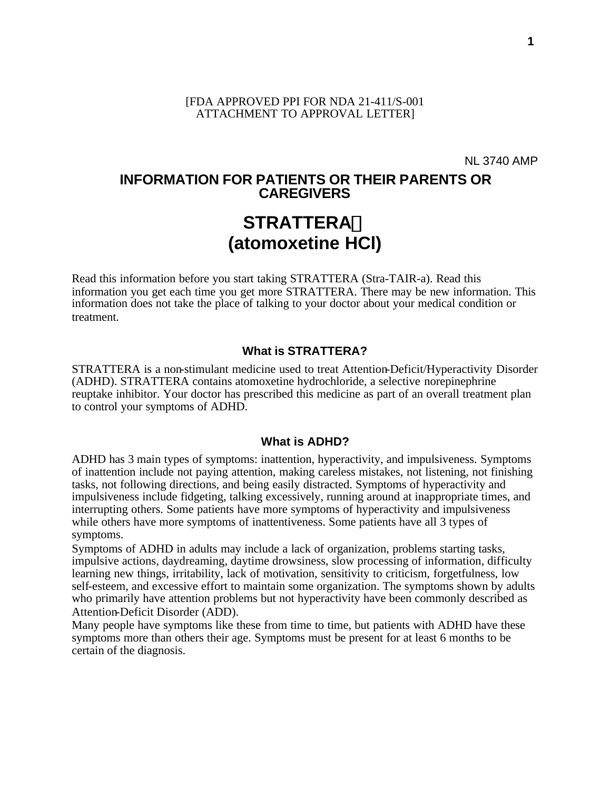#### [FDA APPROVED PPI FOR NDA 21-411/S-001 ATTACHMENT TO APPROVAL LETTER]

NL 3740 AMP

# **INFORMATION FOR PATIENTS OR THEIR PARENTS OR CAREGIVERS STRATTERAä (atomoxetine HCl)**

Read this information before you start taking STRATTERA (Stra-TAIR-a). Read this information you get each time you get more STRATTERA. There may be new information. This information does not take the place of talking to your doctor about your medical condition or treatment.

#### **What is STRATTERA?**

STRATTERA is a non-stimulant medicine used to treat Attention-Deficit/Hyperactivity Disorder (ADHD). STRATTERA contains atomoxetine hydrochloride, a selective norepinephrine reuptake inhibitor. Your doctor has prescribed this medicine as part of an overall treatment plan to control your symptoms of ADHD.

#### **What is ADHD?**

ADHD has 3 main types of symptoms: inattention, hyperactivity, and impulsiveness. Symptoms of inattention include not paying attention, making careless mistakes, not listening, not finishing tasks, not following directions, and being easily distracted. Symptoms of hyperactivity and impulsiveness include fidgeting, talking excessively, running around at inappropriate times, and interrupting others. Some patients have more symptoms of hyperactivity and impulsiveness while others have more symptoms of inattentiveness. Some patients have all 3 types of symptoms.

Symptoms of ADHD in adults may include a lack of organization, problems starting tasks, impulsive actions, daydreaming, daytime drowsiness, slow processing of information, difficulty learning new things, irritability, lack of motivation, sensitivity to criticism, forgetfulness, low self-esteem, and excessive effort to maintain some organization. The symptoms shown by adults who primarily have attention problems but not hyperactivity have been commonly described as Attention-Deficit Disorder (ADD).

Many people have symptoms like these from time to time, but patients with ADHD have these symptoms more than others their age. Symptoms must be present for at least 6 months to be certain of the diagnosis.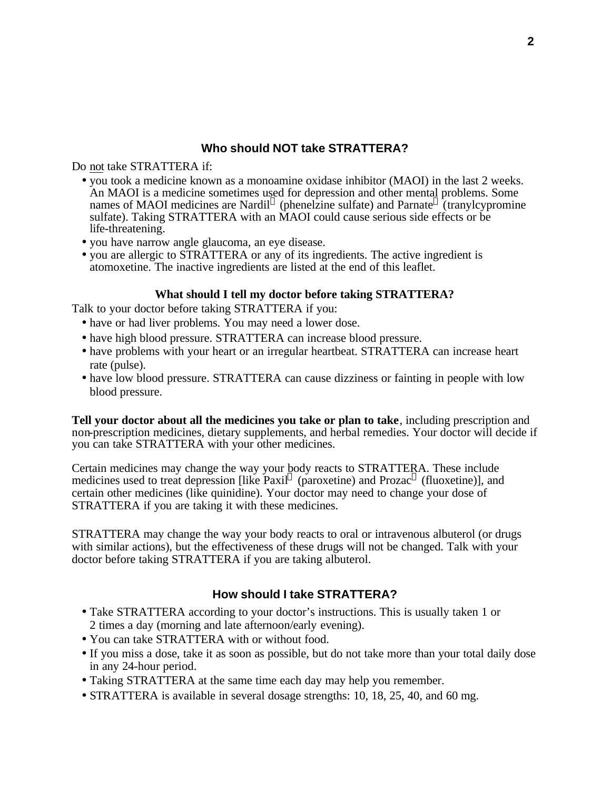# **Who should NOT take STRATTERA?**

Do not take STRATTERA if:

- you took a medicine known as a monoamine oxidase inhibitor (MAOI) in the last 2 weeks. An MAOI is a medicine sometimes used for depression and other mental problems. Some names of MAOI medicines are Nardil<sup>®</sup> (phenelzine sulfate) and Parnate<sup>®</sup> (tranylcypromine sulfate). Taking STRATTERA with an MAOI could cause serious side effects or be life-threatening.
- you have narrow angle glaucoma, an eye disease.
- you are allergic to STRATTERA or any of its ingredients. The active ingredient is atomoxetine. The inactive ingredients are listed at the end of this leaflet.

## **What should I tell my doctor before taking STRATTERA?**

Talk to your doctor before taking STRATTERA if you:

- have or had liver problems. You may need a lower dose.
- have high blood pressure. STRATTERA can increase blood pressure.
- have problems with your heart or an irregular heartbeat. STRATTERA can increase heart rate (pulse).
- have low blood pressure. STRATTERA can cause dizziness or fainting in people with low blood pressure.

**Tell your doctor about all the medicines you take or plan to take**, including prescription and non-prescription medicines, dietary supplements, and herbal remedies. Your doctor will decide if you can take STRATTERA with your other medicines.

Certain medicines may change the way your body reacts to STRATTERA. These include medicines used to treat depression [like Paxil® (paroxetine) and Prozac® (fluoxetine)], and certain other medicines (like quinidine). Your doctor may need to change your dose of STRATTERA if you are taking it with these medicines.

STRATTERA may change the way your body reacts to oral or intravenous albuterol (or drugs with similar actions), but the effectiveness of these drugs will not be changed. Talk with your doctor before taking STRATTERA if you are taking albuterol.

# **How should I take STRATTERA?**

- Take STRATTERA according to your doctor's instructions. This is usually taken 1 or 2 times a day (morning and late afternoon/early evening).
- You can take STRATTERA with or without food.
- If you miss a dose, take it as soon as possible, but do not take more than your total daily dose in any 24-hour period.
- Taking STRATTERA at the same time each day may help you remember.
- STRATTERA is available in several dosage strengths: 10, 18, 25, 40, and 60 mg.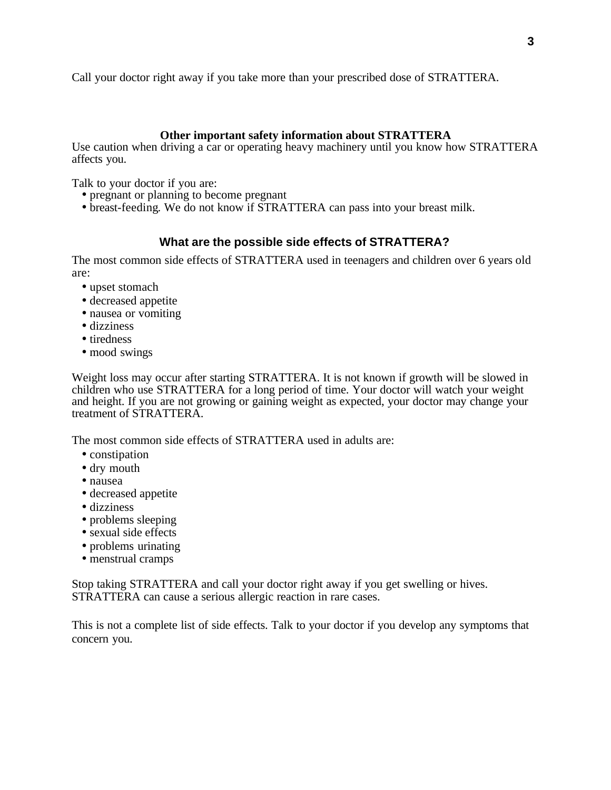Call your doctor right away if you take more than your prescribed dose of STRATTERA.

## **Other important safety information about STRATTERA**

Use caution when driving a car or operating heavy machinery until you know how STRATTERA affects you.

Talk to your doctor if you are:

- pregnant or planning to become pregnant
- breast-feeding. We do not know if STRATTERA can pass into your breast milk.

# **What are the possible side effects of STRATTERA?**

The most common side effects of STRATTERA used in teenagers and children over 6 years old are:

- upset stomach
- decreased appetite
- nausea or vomiting
- dizziness
- tiredness
- mood swings

Weight loss may occur after starting STRATTERA. It is not known if growth will be slowed in children who use STRATTERA for a long period of time. Your doctor will watch your weight and height. If you are not growing or gaining weight as expected, your doctor may change your treatment of STRATTERA.

The most common side effects of STRATTERA used in adults are:

- constipation
- dry mouth
- nausea
- decreased appetite
- dizziness
- problems sleeping
- sexual side effects
- problems urinating
- menstrual cramps

Stop taking STRATTERA and call your doctor right away if you get swelling or hives. STRATTERA can cause a serious allergic reaction in rare cases.

This is not a complete list of side effects. Talk to your doctor if you develop any symptoms that concern you.